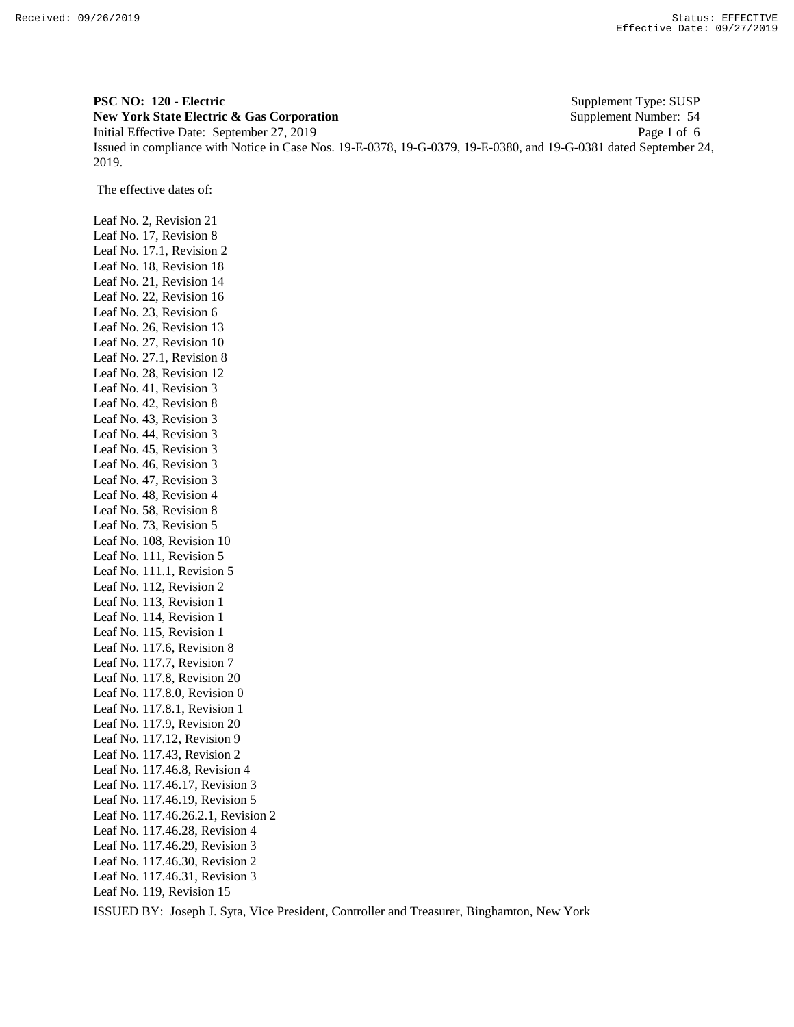**PSC NO: 120 - Electric** Supplement Type: SUSP **New York State Electric & Gas Corporation** Supplement Number: 54 Initial Effective Date: September 27, 2019 Page 1 of 6 Issued in compliance with Notice in Case Nos. 19-E-0378, 19-G-0379, 19-E-0380, and 19-G-0381 dated September 24, 2019.

The effective dates of:

Leaf No. 2, Revision 21 Leaf No. 17, Revision 8 Leaf No. 17.1, Revision 2 Leaf No. 18, Revision 18 Leaf No. 21, Revision 14 Leaf No. 22, Revision 16 Leaf No. 23, Revision 6 Leaf No. 26, Revision 13 Leaf No. 27, Revision 10 Leaf No. 27.1, Revision 8 Leaf No. 28, Revision 12 Leaf No. 41, Revision 3 Leaf No. 42, Revision 8 Leaf No. 43, Revision 3 Leaf No. 44, Revision 3 Leaf No. 45, Revision 3 Leaf No. 46, Revision 3 Leaf No. 47, Revision 3 Leaf No. 48, Revision 4 Leaf No. 58, Revision 8 Leaf No. 73, Revision 5 Leaf No. 108, Revision 10 Leaf No. 111, Revision 5 Leaf No. 111.1, Revision 5 Leaf No. 112, Revision 2 Leaf No. 113, Revision 1 Leaf No. 114, Revision 1 Leaf No. 115, Revision 1 Leaf No. 117.6, Revision 8 Leaf No. 117.7, Revision 7 Leaf No. 117.8, Revision 20 Leaf No. 117.8.0, Revision 0 Leaf No. 117.8.1, Revision 1 Leaf No. 117.9, Revision 20 Leaf No. 117.12, Revision 9 Leaf No. 117.43, Revision 2 Leaf No. 117.46.8, Revision 4 Leaf No. 117.46.17, Revision 3 Leaf No. 117.46.19, Revision 5 Leaf No. 117.46.26.2.1, Revision 2 Leaf No. 117.46.28, Revision 4 Leaf No. 117.46.29, Revision 3 Leaf No. 117.46.30, Revision 2 Leaf No. 117.46.31, Revision 3 Leaf No. 119, Revision 15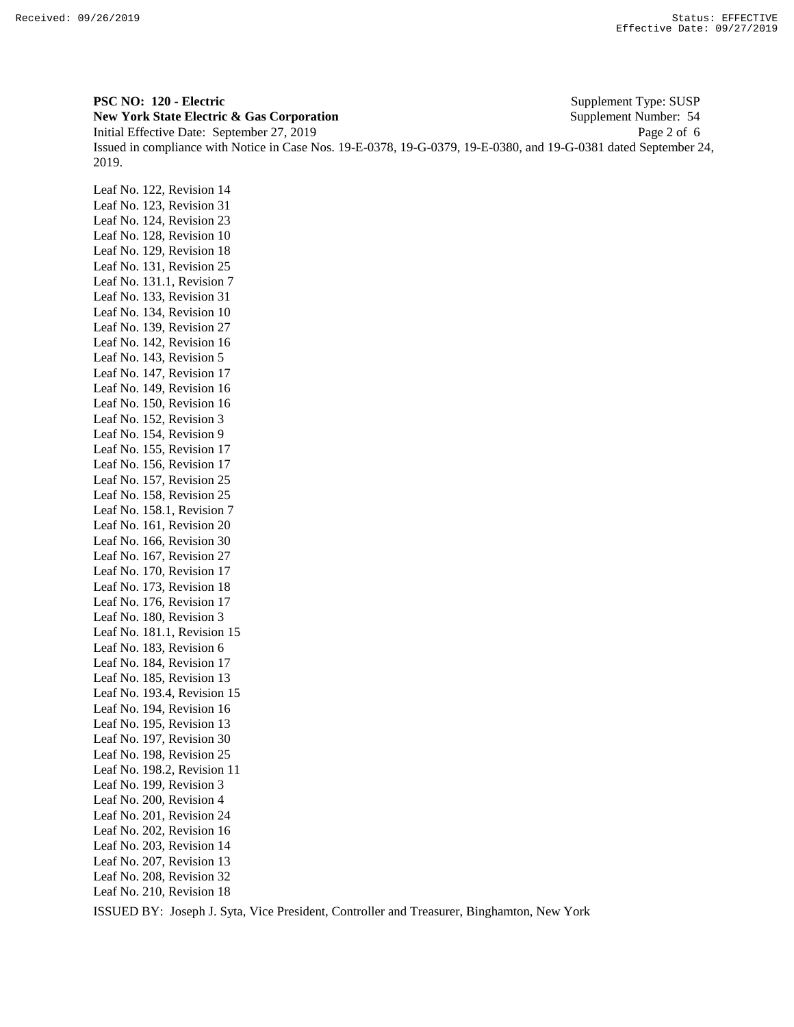**PSC NO: 120 - Electric** Supplement Type: SUSP **New York State Electric & Gas Corporation** Supplement Number: 54 Initial Effective Date: September 27, 2019 Page 2 of 6 Issued in compliance with Notice in Case Nos. 19-E-0378, 19-G-0379, 19-E-0380, and 19-G-0381 dated September 24, 2019.

Leaf No. 122, Revision 14 Leaf No. 123, Revision 31 Leaf No. 124, Revision 23 Leaf No. 128, Revision 10 Leaf No. 129, Revision 18 Leaf No. 131, Revision 25 Leaf No. 131.1, Revision 7 Leaf No. 133, Revision 31 Leaf No. 134, Revision 10 Leaf No. 139, Revision 27 Leaf No. 142, Revision 16 Leaf No. 143, Revision 5 Leaf No. 147, Revision 17 Leaf No. 149, Revision 16 Leaf No. 150, Revision 16 Leaf No. 152, Revision 3 Leaf No. 154, Revision 9 Leaf No. 155, Revision 17 Leaf No. 156, Revision 17 Leaf No. 157, Revision 25 Leaf No. 158, Revision 25 Leaf No. 158.1, Revision 7 Leaf No. 161, Revision 20 Leaf No. 166, Revision 30 Leaf No. 167, Revision 27 Leaf No. 170, Revision 17 Leaf No. 173, Revision 18 Leaf No. 176, Revision 17 Leaf No. 180, Revision 3 Leaf No. 181.1, Revision 15 Leaf No. 183, Revision 6 Leaf No. 184, Revision 17 Leaf No. 185, Revision 13 Leaf No. 193.4, Revision 15 Leaf No. 194, Revision 16 Leaf No. 195, Revision 13 Leaf No. 197, Revision 30 Leaf No. 198, Revision 25 Leaf No. 198.2, Revision 11 Leaf No. 199, Revision 3 Leaf No. 200, Revision 4 Leaf No. 201, Revision 24 Leaf No. 202, Revision 16 Leaf No. 203, Revision 14 Leaf No. 207, Revision 13 Leaf No. 208, Revision 32 Leaf No. 210, Revision 18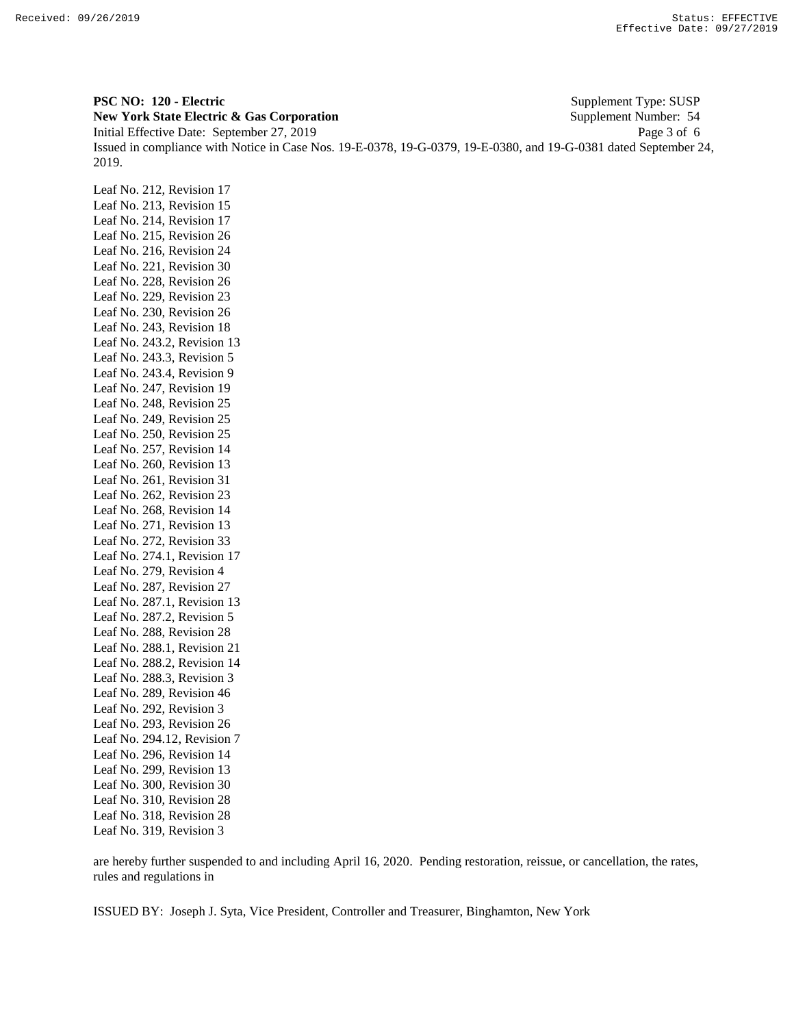**PSC NO: 120 - Electric** Supplement Type: SUSP **New York State Electric & Gas Corporation** Supplement Number: 54 Initial Effective Date: September 27, 2019 Page 3 of 6 Issued in compliance with Notice in Case Nos. 19-E-0378, 19-G-0379, 19-E-0380, and 19-G-0381 dated September 24, 2019.

Leaf No. 212, Revision 17 Leaf No. 213, Revision 15 Leaf No. 214, Revision 17 Leaf No. 215, Revision 26 Leaf No. 216, Revision 24 Leaf No. 221, Revision 30 Leaf No. 228, Revision 26 Leaf No. 229, Revision 23 Leaf No. 230, Revision 26 Leaf No. 243, Revision 18 Leaf No. 243.2, Revision 13 Leaf No. 243.3, Revision 5 Leaf No. 243.4, Revision 9 Leaf No. 247, Revision 19 Leaf No. 248, Revision 25 Leaf No. 249, Revision 25 Leaf No. 250, Revision 25 Leaf No. 257, Revision 14 Leaf No. 260, Revision 13 Leaf No. 261, Revision 31 Leaf No. 262, Revision 23 Leaf No. 268, Revision 14 Leaf No. 271, Revision 13 Leaf No. 272, Revision 33 Leaf No. 274.1, Revision 17 Leaf No. 279, Revision 4 Leaf No. 287, Revision 27 Leaf No. 287.1, Revision 13 Leaf No. 287.2, Revision 5 Leaf No. 288, Revision 28 Leaf No. 288.1, Revision 21 Leaf No. 288.2, Revision 14 Leaf No. 288.3, Revision 3 Leaf No. 289, Revision 46 Leaf No. 292, Revision 3 Leaf No. 293, Revision 26 Leaf No. 294.12, Revision 7 Leaf No. 296, Revision 14 Leaf No. 299, Revision 13 Leaf No. 300, Revision 30 Leaf No. 310, Revision 28 Leaf No. 318, Revision 28 Leaf No. 319, Revision 3

are hereby further suspended to and including April 16, 2020. Pending restoration, reissue, or cancellation, the rates, rules and regulations in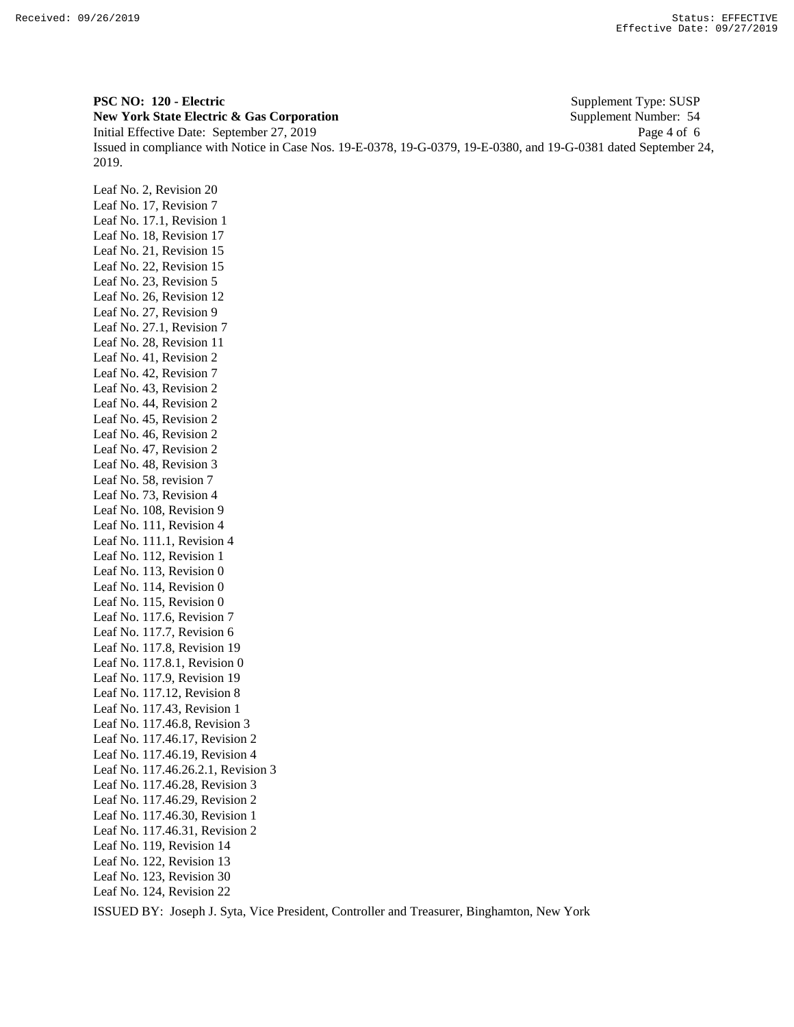**PSC NO: 120 - Electric** Supplement Type: SUSP **New York State Electric & Gas Corporation** Supplement Number: 54 Initial Effective Date: September 27, 2019 Page 4 of 6 Issued in compliance with Notice in Case Nos. 19-E-0378, 19-G-0379, 19-E-0380, and 19-G-0381 dated September 24, 2019.

Leaf No. 2, Revision 20 Leaf No. 17, Revision 7 Leaf No. 17.1, Revision 1 Leaf No. 18, Revision 17 Leaf No. 21, Revision 15 Leaf No. 22, Revision 15 Leaf No. 23, Revision 5 Leaf No. 26, Revision 12 Leaf No. 27, Revision 9 Leaf No. 27.1, Revision 7 Leaf No. 28, Revision 11 Leaf No. 41, Revision 2 Leaf No. 42, Revision 7 Leaf No. 43, Revision 2 Leaf No. 44, Revision 2 Leaf No. 45, Revision 2 Leaf No. 46, Revision 2 Leaf No. 47, Revision 2 Leaf No. 48, Revision 3 Leaf No. 58, revision 7 Leaf No. 73, Revision 4 Leaf No. 108, Revision 9 Leaf No. 111, Revision 4 Leaf No. 111.1, Revision 4 Leaf No. 112, Revision 1 Leaf No. 113, Revision 0 Leaf No. 114, Revision 0 Leaf No. 115, Revision 0 Leaf No. 117.6, Revision 7 Leaf No. 117.7, Revision 6 Leaf No. 117.8, Revision 19 Leaf No. 117.8.1, Revision 0 Leaf No. 117.9, Revision 19 Leaf No. 117.12, Revision 8 Leaf No. 117.43, Revision 1 Leaf No. 117.46.8, Revision 3 Leaf No. 117.46.17, Revision 2 Leaf No. 117.46.19, Revision 4 Leaf No. 117.46.26.2.1, Revision 3 Leaf No. 117.46.28, Revision 3 Leaf No. 117.46.29, Revision 2 Leaf No. 117.46.30, Revision 1 Leaf No. 117.46.31, Revision 2 Leaf No. 119, Revision 14 Leaf No. 122, Revision 13 Leaf No. 123, Revision 30 Leaf No. 124, Revision 22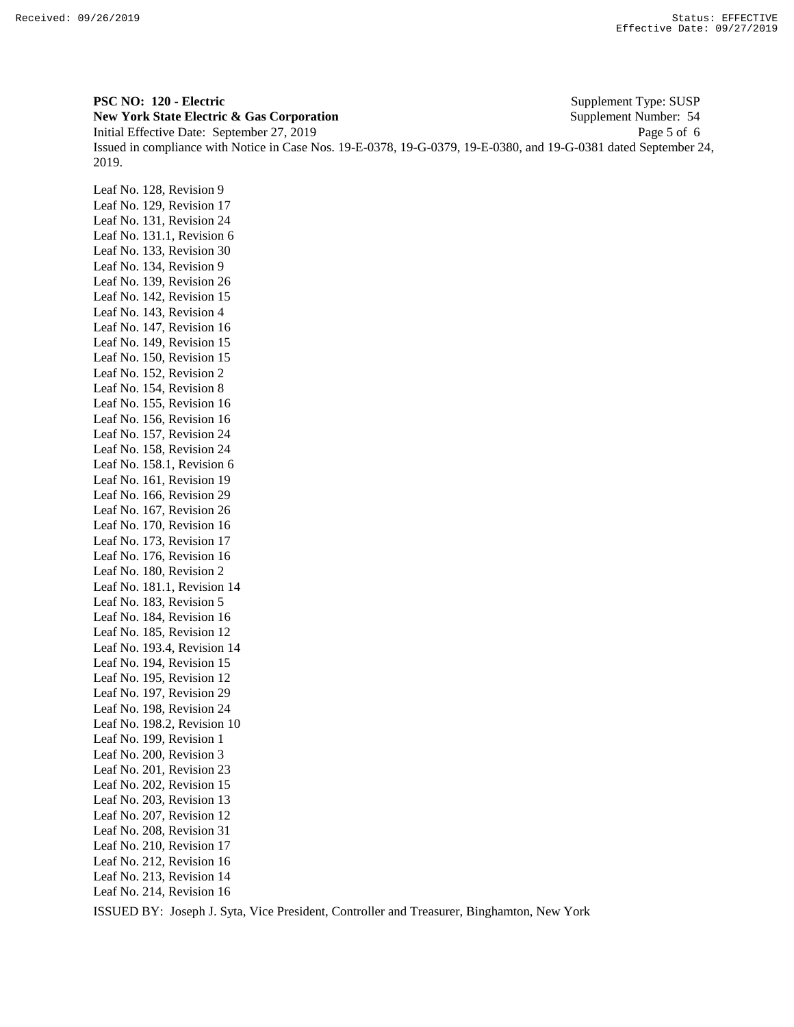**PSC NO: 120 - Electric** Supplement Type: SUSP **New York State Electric & Gas Corporation** Supplement Number: 54 Initial Effective Date: September 27, 2019 Page 5 of 6 Issued in compliance with Notice in Case Nos. 19-E-0378, 19-G-0379, 19-E-0380, and 19-G-0381 dated September 24, 2019.

Leaf No. 128, Revision 9 Leaf No. 129, Revision 17 Leaf No. 131, Revision 24 Leaf No. 131.1, Revision 6 Leaf No. 133, Revision 30 Leaf No. 134, Revision 9 Leaf No. 139, Revision 26 Leaf No. 142, Revision 15 Leaf No. 143, Revision 4 Leaf No. 147, Revision 16 Leaf No. 149, Revision 15 Leaf No. 150, Revision 15 Leaf No. 152, Revision 2 Leaf No. 154, Revision 8 Leaf No. 155, Revision 16 Leaf No. 156, Revision 16 Leaf No. 157, Revision 24 Leaf No. 158, Revision 24 Leaf No. 158.1, Revision 6 Leaf No. 161, Revision 19 Leaf No. 166, Revision 29 Leaf No. 167, Revision 26 Leaf No. 170, Revision 16 Leaf No. 173, Revision 17 Leaf No. 176, Revision 16 Leaf No. 180, Revision 2 Leaf No. 181.1, Revision 14 Leaf No. 183, Revision 5 Leaf No. 184, Revision 16 Leaf No. 185, Revision 12 Leaf No. 193.4, Revision 14 Leaf No. 194, Revision 15 Leaf No. 195, Revision 12 Leaf No. 197, Revision 29 Leaf No. 198, Revision 24 Leaf No. 198.2, Revision 10 Leaf No. 199, Revision 1 Leaf No. 200, Revision 3 Leaf No. 201, Revision 23 Leaf No. 202, Revision 15 Leaf No. 203, Revision 13 Leaf No. 207, Revision 12 Leaf No. 208, Revision 31 Leaf No. 210, Revision 17 Leaf No. 212, Revision 16 Leaf No. 213, Revision 14 Leaf No. 214, Revision 16